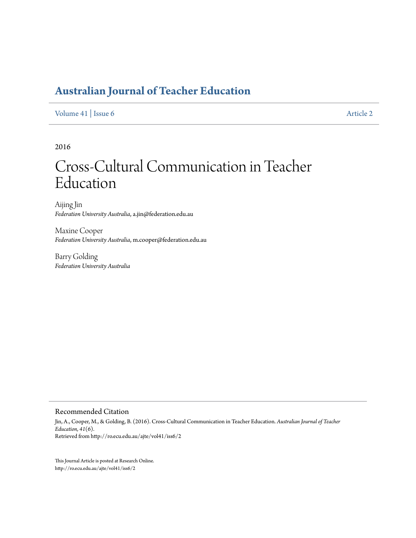## **[Australian Journal of Teacher Education](http://ro.ecu.edu.au/ajte)**

[Volume 41](http://ro.ecu.edu.au/ajte/vol41) | [Issue 6](http://ro.ecu.edu.au/ajte/vol41/iss6) [Article 2](http://ro.ecu.edu.au/ajte/vol41/iss6/2)

2016

# Cross-Cultural Communication in Teacher Education

Aijing Jin *Federation University Australia*, a.jin@federation.edu.au

Maxine Cooper *Federation University Australia*, m.cooper@federation.edu.au

Barry Golding *Federation University Australia*

Recommended Citation

Jin, A., Cooper, M., & Golding, B. (2016). Cross-Cultural Communication in Teacher Education. *Australian Journal of Teacher Education, 41*(6). Retrieved from http://ro.ecu.edu.au/ajte/vol41/iss6/2

This Journal Article is posted at Research Online. http://ro.ecu.edu.au/ajte/vol41/iss6/2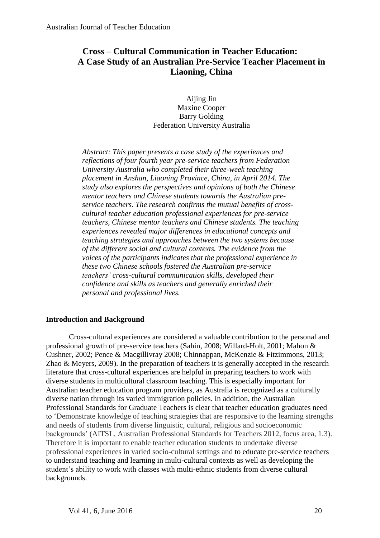### **Cross – Cultural Communication in Teacher Education: A Case Study of an Australian Pre-Service Teacher Placement in Liaoning, China**

Aijing Jin Maxine Cooper Barry Golding Federation University Australia

*Abstract: This paper presents a case study of the experiences and reflections of four fourth year pre-service teachers from Federation University Australia who completed their three-week teaching placement in Anshan, Liaoning Province, China, in April 2014. The study also explores the perspectives and opinions of both the Chinese mentor teachers and Chinese students towards the Australian preservice teachers. The research confirms the mutual benefits of crosscultural teacher education professional experiences for pre-service teachers, Chinese mentor teachers and Chinese students. The teaching experiences revealed major differences in educational concepts and teaching strategies and approaches between the two systems because of the different social and cultural contexts. The evidence from the voices of the participants indicates that the professional experience in these two Chinese schools fostered the Australian pre-service teachers' cross-cultural communication skills, developed their confidence and skills as teachers and generally enriched their personal and professional lives.*

#### **Introduction and Background**

Cross-cultural experiences are considered a valuable contribution to the personal and professional growth of pre-service teachers (Sahin, 2008; Willard-Holt, 2001; Mahon & Cushner, 2002; Pence & Macgillivray 2008; Chinnappan, McKenzie & Fitzimmons, 2013; Zhao & Meyers, 2009). In the preparation of teachers it is generally accepted in the research literature that cross-cultural experiences are helpful in preparing teachers to work with diverse students in multicultural classroom teaching. This is especially important for Australian teacher education program providers, as Australia is recognized as a culturally diverse nation through its varied immigration policies. In addition, the Australian Professional Standards for Graduate Teachers is clear that teacher education graduates need to 'Demonstrate knowledge of teaching strategies that are responsive to the learning strengths and needs of students from diverse linguistic, cultural, religious and socioeconomic backgrounds' (AITSL, Australian Professional Standards for Teachers 2012, focus area, 1.3). Therefore it is important to enable teacher education students to undertake diverse professional experiences in varied socio-cultural settings and to educate pre-service teachers to understand teaching and learning in multi-cultural contexts as well as developing the student's ability to work with classes with multi-ethnic students from diverse cultural backgrounds.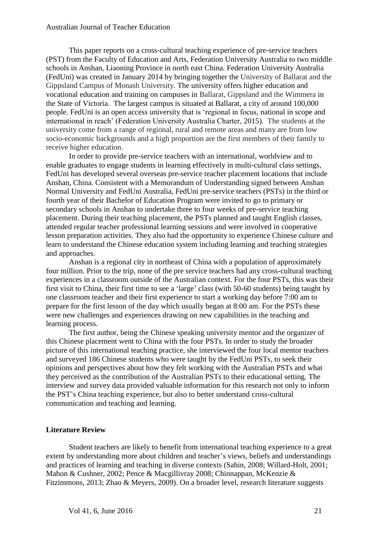#### Australian Journal of Teacher Education

This paper reports on a cross-cultural teaching experience of pre-service teachers (PST) from the Faculty of Education and Arts, Federation University Australia to two middle schools in Anshan, Liaoning Province in north east China. Federation University Australia (FedUni) was created in January 2014 by bringing together the University of Ballarat and the Gippsland Campus of Monash University. The university offers higher education and vocational education and training on campuses in Ballarat, Gippsland and the Wimmera in the State of Victoria. The largest campus is situated at Ballarat, a city of around 100,000 people. FedUni is an open access university that is 'regional in focus, national in scope and international in reach' (Federation University Australia Charter, 2015). The students at the university come from a range of regional, rural and remote areas and many are from low socio-economic backgrounds and a high proportion are the first members of their family to receive higher education.

In order to provide pre-service teachers with an international, worldview and to enable graduates to engage students in learning effectively in multi-cultural class settings, FedUni has developed several overseas pre-service teacher placement locations that include Anshan, China. Consistent with a Memorandum of Understanding signed between Anshan Normal University and FedUni Australia, FedUni pre-service teachers (PSTs) in the third or fourth year of their Bachelor of Education Program were invited to go to primary or secondary schools in Anshan to undertake three to four weeks of pre-service teaching placement. During their teaching placement, the PSTs planned and taught English classes, attended regular teacher professional learning sessions and were involved in cooperative lesson preparation activities. They also had the opportunity to experience Chinese culture and learn to understand the Chinese education system including learning and teaching strategies and approaches.

Anshan is a regional city in northeast of China with a population of approximately four million. Prior to the trip, none of the pre service teachers had any cross-cultural teaching experiences in a classroom outside of the Australian context. For the four PSTs, this was their first visit to China, their first time to see a 'large' class (with 50-60 students) being taught by one classroom teacher and their first experience to start a working day before 7:00 am to prepare for the first lesson of the day which usually began at 8:00 am. For the PSTs these were new challenges and experiences drawing on new capabilities in the teaching and learning process.

The first author, being the Chinese speaking university mentor and the organizer of this Chinese placement went to China with the four PSTs. In order to study the broader picture of this international teaching practice, she interviewed the four local mentor teachers and surveyed 186 Chinese students who were taught by the FedUni PSTs, to seek their opinions and perspectives about how they felt working with the Australian PSTs and what they perceived as the contribution of the Australian PSTs to their educational setting. The interview and survey data provided valuable information for this research not only to inform the PST's China teaching experience, but also to better understand cross-cultural communication and teaching and learning.

#### **Literature Review**

Student teachers are likely to benefit from international teaching experience to a great extent by understanding more about children and teacher's views, beliefs and understandings and practices of learning and teaching in diverse contexts (Sahin, 2008; Willard-Holt, 2001; Mahon & Cushner, 2002; Pence & Macgillivray 2008; Chinnappan, McKenzie & Fitzimmons, 2013; Zhao & Meyers, 2009). On a broader level, research literature suggests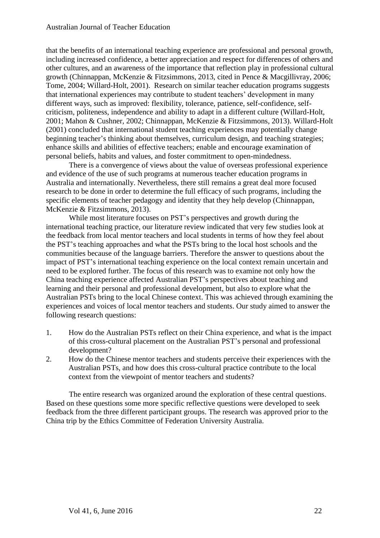that the benefits of an international teaching experience are professional and personal growth, including increased confidence, a better appreciation and respect for differences of others and other cultures, and an awareness of the importance that reflection play in professional cultural growth (Chinnappan, McKenzie & Fitzsimmons, 2013, cited in Pence & Macgillivray, 2006; Tome, 2004; Willard-Holt, 2001). Research on similar teacher education programs suggests that international experiences may contribute to student teachers' development in many different ways, such as improved: flexibility, tolerance, patience, self-confidence, selfcriticism, politeness, independence and ability to adapt in a different culture (Willard-Holt, 2001; Mahon & Cushner, 2002; Chinnappan, McKenzie & Fitzsimmons, 2013). Willard-Holt (2001) concluded that international student teaching experiences may potentially change beginning teacher's thinking about themselves, curriculum design, and teaching strategies; enhance skills and abilities of effective teachers; enable and encourage examination of personal beliefs, habits and values, and foster commitment to open-mindedness.

There is a convergence of views about the value of overseas professional experience and evidence of the use of such programs at numerous teacher education programs in Australia and internationally. Nevertheless, there still remains a great deal more focused research to be done in order to determine the full efficacy of such programs, including the specific elements of teacher pedagogy and identity that they help develop (Chinnappan, McKenzie & Fitzsimmons, 2013).

While most literature focuses on PST's perspectives and growth during the international teaching practice, our literature review indicated that very few studies look at the feedback from local mentor teachers and local students in terms of how they feel about the PST's teaching approaches and what the PSTs bring to the local host schools and the communities because of the language barriers. Therefore the answer to questions about the impact of PST's international teaching experience on the local context remain uncertain and need to be explored further. The focus of this research was to examine not only how the China teaching experience affected Australian PST's perspectives about teaching and learning and their personal and professional development, but also to explore what the Australian PSTs bring to the local Chinese context. This was achieved through examining the experiences and voices of local mentor teachers and students. Our study aimed to answer the following research questions:

- 1. How do the Australian PSTs reflect on their China experience, and what is the impact of this cross-cultural placement on the Australian PST's personal and professional development?
- 2. How do the Chinese mentor teachers and students perceive their experiences with the Australian PSTs, and how does this cross-cultural practice contribute to the local context from the viewpoint of mentor teachers and students?

The entire research was organized around the exploration of these central questions. Based on these questions some more specific reflective questions were developed to seek feedback from the three different participant groups. The research was approved prior to the China trip by the Ethics Committee of Federation University Australia.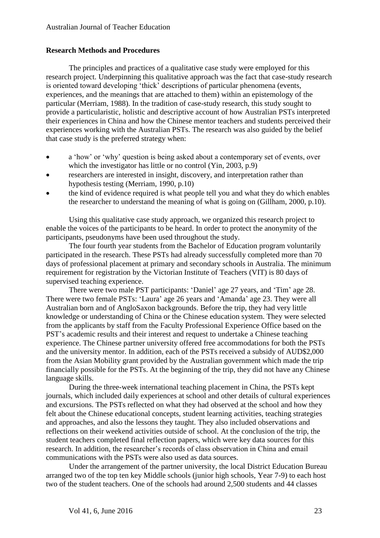#### **Research Methods and Procedures**

The principles and practices of a qualitative case study were employed for this research project. Underpinning this qualitative approach was the fact that case-study research is oriented toward developing 'thick' descriptions of particular phenomena (events, experiences, and the meanings that are attached to them) within an epistemology of the particular (Merriam, 1988). In the tradition of case-study research, this study sought to provide a particularistic, holistic and descriptive account of how Australian PSTs interpreted their experiences in China and how the Chinese mentor teachers and students perceived their experiences working with the Australian PSTs. The research was also guided by the belief that case study is the preferred strategy when:

- a 'how' or 'why' question is being asked about a contemporary set of events, over which the investigator has little or no control (Yin, 2003, p.9)
- researchers are interested in insight, discovery, and interpretation rather than hypothesis testing (Merriam, 1990, p.10)
- the kind of evidence required is what people tell you and what they do which enables the researcher to understand the meaning of what is going on (Gillham, 2000, p.10).

Using this qualitative case study approach, we organized this research project to enable the voices of the participants to be heard. In order to protect the anonymity of the participants, pseudonyms have been used throughout the study.

The four fourth year students from the Bachelor of Education program voluntarily participated in the research. These PSTs had already successfully completed more than 70 days of professional placement at primary and secondary schools in Australia. The minimum requirement for registration by the Victorian Institute of Teachers (VIT) is 80 days of supervised teaching experience.

There were two male PST participants: 'Daniel' age 27 years, and 'Tim' age 28. There were two female PSTs: 'Laura' age 26 years and 'Amanda' age 23. They were all Australian born and of AngloSaxon backgrounds. Before the trip, they had very little knowledge or understanding of China or the Chinese education system. They were selected from the applicants by staff from the Faculty Professional Experience Office based on the PST's academic results and their interest and request to undertake a Chinese teaching experience. The Chinese partner university offered free accommodations for both the PSTs and the university mentor. In addition, each of the PSTs received a subsidy of AUD\$2,000 from the Asian Mobility grant provided by the Australian government which made the trip financially possible for the PSTs. At the beginning of the trip, they did not have any Chinese language skills.

During the three-week international teaching placement in China, the PSTs kept journals, which included daily experiences at school and other details of cultural experiences and excursions. The PSTs reflected on what they had observed at the school and how they felt about the Chinese educational concepts, student learning activities, teaching strategies and approaches, and also the lessons they taught. They also included observations and reflections on their weekend activities outside of school. At the conclusion of the trip, the student teachers completed final reflection papers, which were key data sources for this research. In addition, the researcher's records of class observation in China and email communications with the PSTs were also used as data sources.

Under the arrangement of the partner university, the local District Education Bureau arranged two of the top ten key Middle schools (junior high schools, Year 7-9) to each host two of the student teachers. One of the schools had around 2,500 students and 44 classes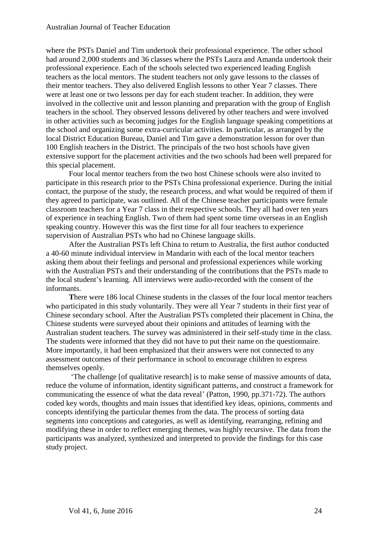where the PSTs Daniel and Tim undertook their professional experience. The other school had around 2,000 students and 36 classes where the PSTs Laura and Amanda undertook their professional experience. Each of the schools selected two experienced leading English teachers as the local mentors. The student teachers not only gave lessons to the classes of their mentor teachers. They also delivered English lessons to other Year 7 classes. There were at least one or two lessons per day for each student teacher. In addition, they were involved in the collective unit and lesson planning and preparation with the group of English teachers in the school. They observed lessons delivered by other teachers and were involved in other activities such as becoming judges for the English language speaking competitions at the school and organizing some extra-curricular activities. In particular, as arranged by the local District Education Bureau, Daniel and Tim gave a demonstration lesson for over than 100 English teachers in the District. The principals of the two host schools have given extensive support for the placement activities and the two schools had been well prepared for this special placement.

Four local mentor teachers from the two host Chinese schools were also invited to participate in this research prior to the PSTs China professional experience. During the initial contact, the purpose of the study, the research process, and what would be required of them if they agreed to participate, was outlined. All of the Chinese teacher participants were female classroom teachers for a Year 7 class in their respective schools. They all had over ten years of experience in teaching English. Two of them had spent some time overseas in an English speaking country. However this was the first time for all four teachers to experience supervision of Australian PSTs who had no Chinese language skills.

After the Australian PSTs left China to return to Australia, the first author conducted a 40-60 minute individual interview in Mandarin with each of the local mentor teachers asking them about their feelings and personal and professional experiences while working with the Australian PSTs and their understanding of the contributions that the PSTs made to the local student's learning. All interviews were audio-recorded with the consent of the informants.

**T**here were 186 local Chinese students in the classes of the four local mentor teachers who participated in this study voluntarily. They were all Year 7 students in their first year of Chinese secondary school. After the Australian PSTs completed their placement in China, the Chinese students were surveyed about their opinions and attitudes of learning with the Australian student teachers. The survey was administered in their self-study time in the class. The students were informed that they did not have to put their name on the questionnaire. More importantly, it had been emphasized that their answers were not connected to any assessment outcomes of their performance in school to encourage children to express themselves openly.

'The challenge [of qualitative research] is to make sense of massive amounts of data, reduce the volume of information, identity significant patterns, and construct a framework for communicating the essence of what the data reveal' (Patton, 1990, pp.371-72). The authors coded key words, thoughts and main issues that identified key ideas, opinions, comments and concepts identifying the particular themes from the data. The process of sorting data segments into conceptions and categories, as well as identifying, rearranging, refining and modifying these in order to reflect emerging themes, was highly recursive. The data from the participants was analyzed, synthesized and interpreted to provide the findings for this case study project.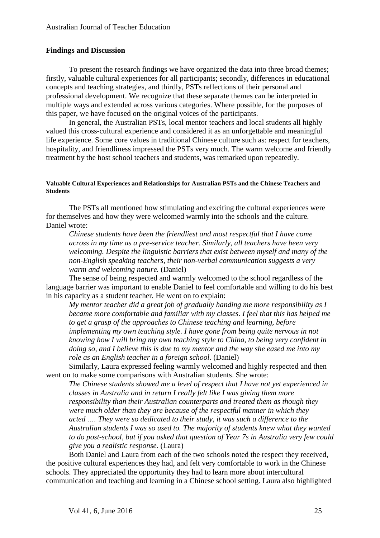#### **Findings and Discussion**

To present the research findings we have organized the data into three broad themes; firstly, valuable cultural experiences for all participants; secondly, differences in educational concepts and teaching strategies, and thirdly, PSTs reflections of their personal and professional development. We recognize that these separate themes can be interpreted in multiple ways and extended across various categories. Where possible, for the purposes of this paper, we have focused on the original voices of the participants.

In general, the Australian PSTs, local mentor teachers and local students all highly valued this cross-cultural experience and considered it as an unforgettable and meaningful life experience. Some core values in traditional Chinese culture such as: respect for teachers, hospitality, and friendliness impressed the PSTs very much. The warm welcome and friendly treatment by the host school teachers and students, was remarked upon repeatedly.

#### **Valuable Cultural Experiences and Relationships for Australian PSTs and the Chinese Teachers and Students**

The PSTs all mentioned how stimulating and exciting the cultural experiences were for themselves and how they were welcomed warmly into the schools and the culture. Daniel wrote:

*Chinese students have been the friendliest and most respectful that I have come across in my time as a pre-service teacher. Similarly, all teachers have been very welcoming. Despite the linguistic barriers that exist between myself and many of the non-English speaking teachers, their non-verbal communication suggests a very warm and welcoming nature.* (Daniel)

The sense of being respected and warmly welcomed to the school regardless of the language barrier was important to enable Daniel to feel comfortable and willing to do his best in his capacity as a student teacher. He went on to explain:

*My mentor teacher did a great job of gradually handing me more responsibility as I became more comfortable and familiar with my classes. I feel that this has helped me to get a grasp of the approaches to Chinese teaching and learning, before implementing my own teaching style. I have gone from being quite nervous in not knowing how I will bring my own teaching style to China, to being very confident in doing so, and I believe this is due to my mentor and the way she eased me into my role as an English teacher in a foreign school.* (Daniel)

Similarly, Laura expressed feeling warmly welcomed and highly respected and then went on to make some comparisons with Australian students. She wrote:

*The Chinese students showed me a level of respect that I have not yet experienced in classes in Australia and in return I really felt like I was giving them more responsibility than their Australian counterparts and treated them as though they were much older than they are because of the respectful manner in which they acted …. They were so dedicated to their study, it was such a difference to the Australian students I was so used to. The majority of students knew what they wanted to do post-school, but if you asked that question of Year 7s in Australia very few could give you a realistic response*. (Laura)

Both Daniel and Laura from each of the two schools noted the respect they received, the positive cultural experiences they had, and felt very comfortable to work in the Chinese schools. They appreciated the opportunity they had to learn more about intercultural communication and teaching and learning in a Chinese school setting. Laura also highlighted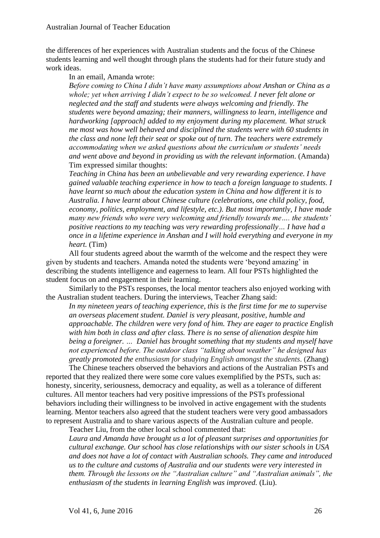the differences of her experiences with Australian students and the focus of the Chinese students learning and well thought through plans the students had for their future study and work ideas.

#### In an email, Amanda wrote:

*Before coming to China I didn't have many assumptions about Anshan or China as a whole; yet when arriving I didn't expect to be so welcomed. I never felt alone or neglected and the staff and students were always welcoming and friendly. The students were beyond amazing; their manners, willingness to learn, intelligence and hardworking [approach] added to my enjoyment during my placement. What struck me most was how well behaved and disciplined the students were with 60 students in the class and none left their seat or spoke out of turn. The teachers were extremely accommodating when we asked questions about the curriculum or students' needs and went above and beyond in providing us with the relevant information.* (Amanda) Tim expressed similar thoughts:

*Teaching in China has been an unbelievable and very rewarding experience. I have gained valuable teaching experience in how to teach a foreign language to students. I have learnt so much about the education system in China and how different it is to Australia. I have learnt about Chinese culture (celebrations, one child policy, food, economy, politics, employment, and lifestyle, etc.). But most importantly, I have made many new friends who were very welcoming and friendly towards me…. the students' positive reactions to my teaching was very rewarding professionally… I have had a once in a lifetime experience in Anshan and I will hold everything and everyone in my heart.* (Tim)

All four students agreed about the warmth of the welcome and the respect they were given by students and teachers. Amanda noted the students were 'beyond amazing' in describing the students intelligence and eagerness to learn. All four PSTs highlighted the student focus on and engagement in their learning.

Similarly to the PSTs responses, the local mentor teachers also enjoyed working with the Australian student teachers. During the interviews, Teacher Zhang said:

*In my nineteen years of teaching experience, this is the first time for me to supervise an overseas placement student. Daniel is very pleasant, positive, humble and approachable. The children were very fond of him. They are eager to practice English with him both in class and after class. There is no sense of alienation despite him being a foreigner. … Daniel has brought something that my students and myself have not experienced before. The outdoor class "talking about weather" he designed has greatly promoted the enthusiasm for studying English amongst the students*. (Zhang)

The Chinese teachers observed the behaviors and actions of the Australian PSTs and reported that they realized there were some core values exemplified by the PSTs, such as: honesty, sincerity, seriousness, democracy and equality, as well as a tolerance of different cultures. All mentor teachers had very positive impressions of the PSTs professional behaviors including their willingness to be involved in active engagement with the students learning. Mentor teachers also agreed that the student teachers were very good ambassadors to represent Australia and to share various aspects of the Australian culture and people.

Teacher Liu, from the other local school commented that:

*Laura and Amanda have brought us a lot of pleasant surprises and opportunities for cultural exchange. Our school has close relationships with our sister schools in USA and does not have a lot of contact with Australian schools. They came and introduced us to the culture and customs of Australia and our students were very interested in them. Through the lessons on the "Australian culture" and "Australian animals", the enthusiasm of the students in learning English was improved.* (Liu).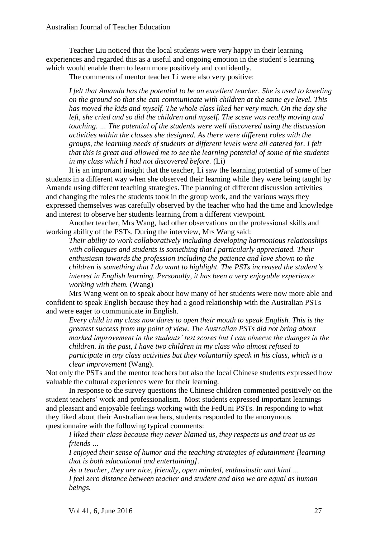Teacher Liu noticed that the local students were very happy in their learning experiences and regarded this as a useful and ongoing emotion in the student's learning which would enable them to learn more positively and confidently.

The comments of mentor teacher Li were also very positive:

*I felt that Amanda has the potential to be an excellent teacher. She is used to kneeling on the ground so that she can communicate with children at the same eye level. This has moved the kids and myself. The whole class liked her very much. On the day she left, she cried and so did the children and myself. The scene was really moving and touching. … The potential of the students were well discovered using the discussion activities within the classes she designed. As there were different roles with the groups, the learning needs of students at different levels were all catered for. I felt that this is great and allowed me to see the learning potential of some of the students in my class which I had not discovered before.* (Li)

It is an important insight that the teacher, Li saw the learning potential of some of her students in a different way when she observed their learning while they were being taught by Amanda using different teaching strategies. The planning of different discussion activities and changing the roles the students took in the group work, and the various ways they expressed themselves was carefully observed by the teacher who had the time and knowledge and interest to observe her students learning from a different viewpoint.

Another teacher, Mrs Wang, had other observations on the professional skills and working ability of the PSTs. During the interview, Mrs Wang said:

*Their ability to work collaboratively including developing harmonious relationships with colleagues and students is something that I particularly appreciated. Their enthusiasm towards the profession including the patience and love shown to the children is something that I do want to highlight. The PSTs increased the student's interest in English learning. Personally, it has been a very enjoyable experience working with them.* (Wang)

Mrs Wang went on to speak about how many of her students were now more able and confident to speak English because they had a good relationship with the Australian PSTs and were eager to communicate in English.

*Every child in my class now dares to open their mouth to speak English. This is the greatest success from my point of view. The Australian PSTs did not bring about marked improvement in the students' test scores but I can observe the changes in the children. In the past, I have two children in my class who almost refused to participate in any class activities but they voluntarily speak in his class, which is a clear improvement* (Wang).

Not only the PSTs and the mentor teachers but also the local Chinese students expressed how valuable the cultural experiences were for their learning.

In response to the survey questions the Chinese children commented positively on the student teachers' work and professionalism. Most students expressed important learnings and pleasant and enjoyable feelings working with the FedUni PSTs. In responding to what they liked about their Australian teachers, students responded to the anonymous questionnaire with the following typical comments:

*I liked their class because they never blamed us, they respects us and treat us as friends …*

*I enjoyed their sense of humor and the teaching strategies of edutainment [learning that is both educational and entertaining].*

*As a teacher, they are nice, friendly, open minded, enthusiastic and kind … I feel zero distance between teacher and student and also we are equal as human beings.*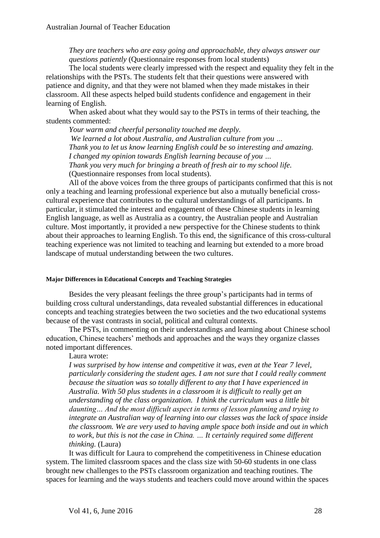*They are teachers who are easy going and approachable, they always answer our questions patiently* (Questionnaire responses from local students)

The local students were clearly impressed with the respect and equality they felt in the relationships with the PSTs. The students felt that their questions were answered with patience and dignity, and that they were not blamed when they made mistakes in their classroom. All these aspects helped build students confidence and engagement in their learning of English.

When asked about what they would say to the PSTs in terms of their teaching, the students commented:

*Your warm and cheerful personality touched me deeply. We learned a lot about Australia, and Australian culture from you … Thank you to let us know learning English could be so interesting and amazing. I changed my opinion towards English learning because of you … Thank you very much for bringing a breath of fresh air to my school life.* (Questionnaire responses from local students).

All of the above voices from the three groups of participants confirmed that this is not only a teaching and learning professional experience but also a mutually beneficial crosscultural experience that contributes to the cultural understandings of all participants. In particular, it stimulated the interest and engagement of these Chinese students in learning English language, as well as Australia as a country, the Australian people and Australian culture. Most importantly, it provided a new perspective for the Chinese students to think about their approaches to learning English. To this end, the significance of this cross-cultural teaching experience was not limited to teaching and learning but extended to a more broad landscape of mutual understanding between the two cultures.

#### **Major Differences in Educational Concepts and Teaching Strategies**

Besides the very pleasant feelings the three group's participants had in terms of building cross cultural understandings, data revealed substantial differences in educational concepts and teaching strategies between the two societies and the two educational systems because of the vast contrasts in social, political and cultural contexts.

The PSTs, in commenting on their understandings and learning about Chinese school education, Chinese teachers' methods and approaches and the ways they organize classes noted important differences.

Laura wrote:

*I was surprised by how intense and competitive it was, even at the Year 7 level, particularly considering the student ages. I am not sure that I could really comment because the situation was so totally different to any that I have experienced in Australia. With 50 plus students in a classroom it is difficult to really get an understanding of the class organization. I think the curriculum was a little bit daunting… And the most difficult aspect in terms of lesson planning and trying to integrate an Australian way of learning into our classes was the lack of space inside the classroom. We are very used to having ample space both inside and out in which to work, but this is not the case in China. … It certainly required some different thinking.* (Laura)

It was difficult for Laura to comprehend the competitiveness in Chinese education system. The limited classroom spaces and the class size with 50-60 students in one class brought new challenges to the PSTs classroom organization and teaching routines. The spaces for learning and the ways students and teachers could move around within the spaces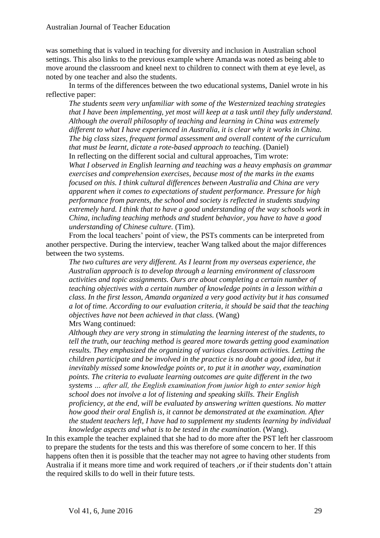was something that is valued in teaching for diversity and inclusion in Australian school settings. This also links to the previous example where Amanda was noted as being able to move around the classroom and kneel next to children to connect with them at eye level, as noted by one teacher and also the students.

In terms of the differences between the two educational systems, Daniel wrote in his reflective paper:

*The students seem very unfamiliar with some of the Westernized teaching strategies that I have been implementing, yet most will keep at a task until they fully understand. Although the overall philosophy of teaching and learning in China was extremely different to what I have experienced in Australia, it is clear why it works in China. The big class sizes, frequent formal assessment and overall content of the curriculum that must be learnt, dictate a rote-based approach to teaching.* (Daniel) In reflecting on the different social and cultural approaches, Tim wrote: *What I observed in English learning and teaching was a heavy emphasis on grammar exercises and comprehension exercises, because most of the marks in the exams focused on this. I think cultural differences between Australia and China are very apparent when it comes to expectations of student performance. Pressure for high performance from parents, the school and society is reflected in students studying extremely hard. I think that to have a good understanding of the way schools work in China, including teaching methods and student behavior, you have to have a good understanding of Chinese culture.* (Tim).

From the local teachers' point of view, the PSTs comments can be interpreted from another perspective. During the interview, teacher Wang talked about the major differences between the two systems.

*The two cultures are very different. As I learnt from my overseas experience, the Australian approach is to develop through a learning environment of classroom activities and topic assignments. Ours are about completing a certain number of teaching objectives with a certain number of knowledge points in a lesson within a class. In the first lesson, Amanda organized a very good activity but it has consumed a lot of time. According to our evaluation criteria, it should be said that the teaching objectives have not been achieved in that class.* (Wang) Mrs Wang continued:

*Although they are very strong in stimulating the learning interest of the students, to tell the truth, our teaching method is geared more towards getting good examination results. They emphasized the organizing of various classroom activities. Letting the children participate and be involved in the practice is no doubt a good idea, but it inevitably missed some knowledge points or, to put it in another way, examination points. The criteria to evaluate learning outcomes are quite different in the two systems … after all, the English examination from junior high to enter senior high school does not involve a lot of listening and speaking skills. Their English proficiency, at the end, will be evaluated by answering written questions. No matter how good their oral English is, it cannot be demonstrated at the examination. After the student teachers left, I have had to supplement my students learning by individual knowledge aspects and what is to be tested in the examination.* (Wang).

In this example the teacher explained that she had to do more after the PST left her classroom to prepare the students for the tests and this was therefore of some concern to her. If this happens often then it is possible that the teacher may not agree to having other students from Australia if it means more time and work required of teachers ,or if their students don't attain the required skills to do well in their future tests.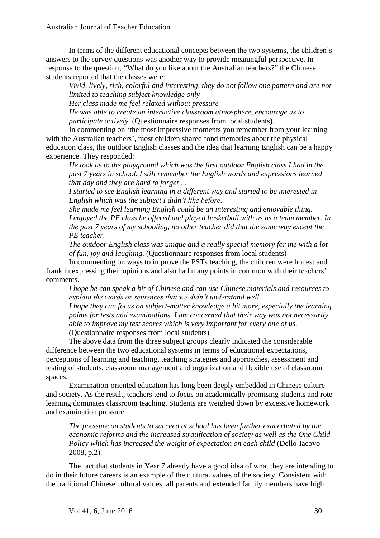In terms of the different educational concepts between the two systems, the children's answers to the survey questions was another way to provide meaningful perspective. In response to the question, "What do you like about the Australian teachers?" the Chinese students reported that the classes were:

*Vivid, lively, rich, colorful and interesting, they do not follow one pattern and are not limited to teaching subject knowledge only*

*Her class made me feel relaxed without pressure* 

*He was able to create an interactive classroom atmosphere, encourage us to participate actively.* (Questionnaire responses from local students).

In commenting on 'the most impressive moments you remember from your learning with the Australian teachers', most children shared fond memories about the physical education class, the outdoor English classes and the idea that learning English can be a happy experience. They responded:

*He took us to the playground which was the first outdoor English class I had in the past 7 years in school. I still remember the English words and expressions learned that day and they are hard to forget …* 

*I started to see English learning in a different way and started to be interested in English which was the subject I didn't like before.*

*She made me feel learning English could be an interesting and enjoyable thing. I enjoyed the PE class he offered and played basketball with us as a team member. In the past 7 years of my schooling, no other teacher did that the same way except the PE teacher.*

*The outdoor English class was unique and a really special memory for me with a lot of fun, joy and laughing.* (Questionnaire responses from local students)

In commenting on ways to improve the PSTs teaching, the children were honest and frank in expressing their opinions and also had many points in common with their teachers' comments.

*I hope he can speak a bit of Chinese and can use Chinese materials and resources to explain the words or sentences that we didn't understand well.*

*I hope they can focus on subject-matter knowledge a bit more, especially the learning points for tests and examinations. I am concerned that their way was not necessarily able to improve my test scores which is very important for every one of us.* (Questionnaire responses from local students)

The above data from the three subject groups clearly indicated the considerable difference between the two educational systems in terms of educational expectations, perceptions of learning and teaching, teaching strategies and approaches, assessment and testing of students, classroom management and organization and flexible use of classroom spaces.

Examination-oriented education has long been deeply embedded in Chinese culture and society. As the result, teachers tend to focus on academically promising students and rote learning dominates classroom teaching. Students are weighed down by excessive homework and examination pressure.

*The pressure on students to succeed at school has been further exacerbated by the economic reforms and the increased stratification of society as well as the One Child Policy which has increased the weight of expectation on each child* (Dello-Iacovo 2008, p.2).

 The fact that students in Year 7 already have a good idea of what they are intending to do in their future careers is an example of the cultural values of the society. Consistent with the traditional Chinese cultural values, all parents and extended family members have high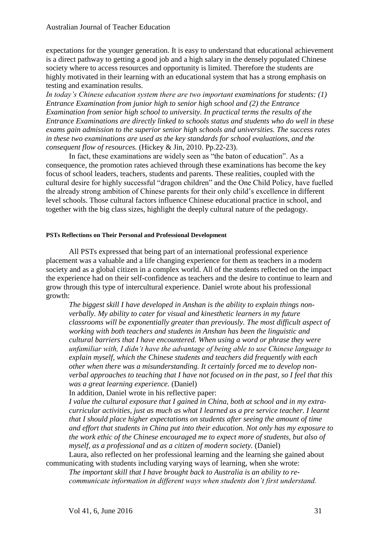expectations for the younger generation. It is easy to understand that educational achievement is a direct pathway to getting a good job and a high salary in the densely populated Chinese society where to access resources and opportunity is limited. Therefore the students are highly motivated in their learning with an educational system that has a strong emphasis on testing and examination results.

*In today's Chinese education system there are two important examinations for students: (1) Entrance Examination from junior high to senior high school and (2) the Entrance Examination from senior high school to university. In practical terms the results of the Entrance Examinations are directly linked to schools status and students who do well in these exams gain admission to the superior senior high schools and universities. The success rates in these two examinations are used as the key standards for school evaluations, and the consequent flow of resources.* (Hickey & Jin, 2010. Pp.22-23).

In fact, these examinations are widely seen as "the baton of education". As a consequence, the promotion rates achieved through these examinations has become the key focus of school leaders, teachers, students and parents. These realities, coupled with the cultural desire for highly successful "dragon children" and the One Child Policy, have fuelled the already strong ambition of Chinese parents for their only child's excellence in different level schools. Those cultural factors influence Chinese educational practice in school, and together with the big class sizes, highlight the deeply cultural nature of the pedagogy.

#### **PSTs Reflections on Their Personal and Professional Development**

All PSTs expressed that being part of an international professional experience placement was a valuable and a life changing experience for them as teachers in a modern society and as a global citizen in a complex world. All of the students reflected on the impact the experience had on their self-confidence as teachers and the desire to continue to learn and grow through this type of intercultural experience. Daniel wrote about his professional growth:

*The biggest skill I have developed in Anshan is the ability to explain things nonverbally. My ability to cater for visual and kinesthetic learners in my future classrooms will be exponentially greater than previously. The most difficult aspect of working with both teachers and students in Anshan has been the linguistic and cultural barriers that I have encountered. When using a word or phrase they were unfamiliar with, I didn't have the advantage of being able to use Chinese language to explain myself, which the Chinese students and teachers did frequently with each other when there was a misunderstanding. It certainly forced me to develop nonverbal approaches to teaching that I have not focused on in the past, so I feel that this was a great learning experience.* (Daniel)

In addition, Daniel wrote in his reflective paper:

*I value the cultural exposure that I gained in China, both at school and in my extracurricular activities, just as much as what I learned as a pre service teacher. I learnt that I should place higher expectations on students after seeing the amount of time and effort that students in China put into their education. Not only has my exposure to the work ethic of the Chinese encouraged me to expect more of students, but also of myself, as a professional and as a citizen of modern society.* (Daniel)

Laura, also reflected on her professional learning and the learning she gained about communicating with students including varying ways of learning, when she wrote:

*The important skill that I have brought back to Australia is an ability to recommunicate information in different ways when students don't first understand.*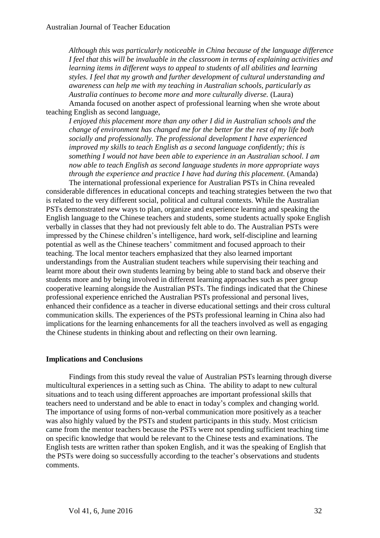*Although this was particularly noticeable in China because of the language difference I feel that this will be invaluable in the classroom in terms of explaining activities and learning items in different ways to appeal to students of all abilities and learning styles. I feel that my growth and further development of cultural understanding and awareness can help me with my teaching in Australian schools, particularly as Australia continues to become more and more culturally diverse.* (Laura) Amanda focused on another aspect of professional learning when she wrote about

teaching English as second language,

*I enjoyed this placement more than any other I did in Australian schools and the change of environment has changed me for the better for the rest of my life both socially and professionally. The professional development I have experienced improved my skills to teach English as a second language confidently; this is something I would not have been able to experience in an Australian school. I am now able to teach English as second language students in more appropriate ways through the experience and practice I have had during this placement.* (Amanda)

The international professional experience for Australian PSTs in China revealed considerable differences in educational concepts and teaching strategies between the two that is related to the very different social, political and cultural contexts. While the Australian PSTs demonstrated new ways to plan, organize and experience learning and speaking the English language to the Chinese teachers and students, some students actually spoke English verbally in classes that they had not previously felt able to do. The Australian PSTs were impressed by the Chinese children's intelligence, hard work, self-discipline and learning potential as well as the Chinese teachers' commitment and focused approach to their teaching. The local mentor teachers emphasized that they also learned important understandings from the Australian student teachers while supervising their teaching and learnt more about their own students learning by being able to stand back and observe their students more and by being involved in different learning approaches such as peer group cooperative learning alongside the Australian PSTs. The findings indicated that the Chinese professional experience enriched the Australian PSTs professional and personal lives, enhanced their confidence as a teacher in diverse educational settings and their cross cultural communication skills. The experiences of the PSTs professional learning in China also had implications for the learning enhancements for all the teachers involved as well as engaging the Chinese students in thinking about and reflecting on their own learning.

#### **Implications and Conclusions**

Findings from this study reveal the value of Australian PSTs learning through diverse multicultural experiences in a setting such as China. The ability to adapt to new cultural situations and to teach using different approaches are important professional skills that teachers need to understand and be able to enact in today's complex and changing world. The importance of using forms of non-verbal communication more positively as a teacher was also highly valued by the PSTs and student participants in this study. Most criticism came from the mentor teachers because the PSTs were not spending sufficient teaching time on specific knowledge that would be relevant to the Chinese tests and examinations. The English tests are written rather than spoken English, and it was the speaking of English that the PSTs were doing so successfully according to the teacher's observations and students comments.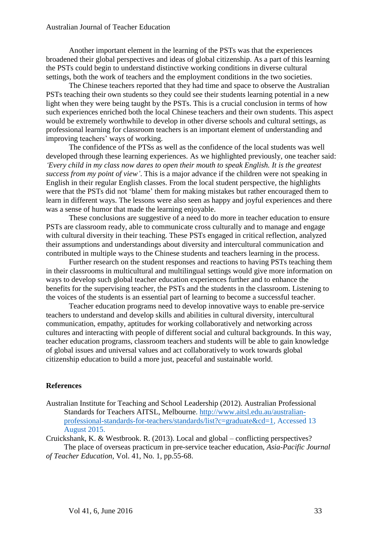Another important element in the learning of the PSTs was that the experiences broadened their global perspectives and ideas of global citizenship. As a part of this learning the PSTs could begin to understand distinctive working conditions in diverse cultural settings, both the work of teachers and the employment conditions in the two societies.

The Chinese teachers reported that they had time and space to observe the Australian PSTs teaching their own students so they could see their students learning potential in a new light when they were being taught by the PSTs. This is a crucial conclusion in terms of how such experiences enriched both the local Chinese teachers and their own students. This aspect would be extremely worthwhile to develop in other diverse schools and cultural settings, as professional learning for classroom teachers is an important element of understanding and improving teachers' ways of working.

The confidence of the PTSs as well as the confidence of the local students was well developed through these learning experiences. As we highlighted previously, one teacher said: *'Every child in my class now dares to open their mouth to speak English. It is the greatest success from my point of view'*. This is a major advance if the children were not speaking in English in their regular English classes. From the local student perspective, the highlights were that the PSTs did not 'blame' them for making mistakes but rather encouraged them to learn in different ways. The lessons were also seen as happy and joyful experiences and there was a sense of humor that made the learning enjoyable.

These conclusions are suggestive of a need to do more in teacher education to ensure PSTs are classroom ready, able to communicate cross culturally and to manage and engage with cultural diversity in their teaching. These PSTs engaged in critical reflection, analyzed their assumptions and understandings about diversity and intercultural communication and contributed in multiple ways to the Chinese students and teachers learning in the process.

Further research on the student responses and reactions to having PSTs teaching them in their classrooms in multicultural and multilingual settings would give more information on ways to develop such global teacher education experiences further and to enhance the benefits for the supervising teacher, the PSTs and the students in the classroom. Listening to the voices of the students is an essential part of learning to become a successful teacher.

Teacher education programs need to develop innovative ways to enable pre-service teachers to understand and develop skills and abilities in cultural diversity, intercultural communication, empathy, aptitudes for working collaboratively and networking across cultures and interacting with people of different social and cultural backgrounds. In this way, teacher education programs, classroom teachers and students will be able to gain knowledge of global issues and universal values and act collaboratively to work towards global citizenship education to build a more just, peaceful and sustainable world.

#### **References**

Australian Institute for Teaching and School Leadership (2012). Australian Professional Standards for Teachers AITSL, Melbourne. [http://www.aitsl.edu.au/australian](http://www.aitsl.edu.au/australian-professional-standards-for-teachers/standards/list?c=graduate&cd=1)[professional-standards-for-teachers/standards/list?c=graduate&cd=1,](http://www.aitsl.edu.au/australian-professional-standards-for-teachers/standards/list?c=graduate&cd=1) Accessed 13 August 2015.

Cruickshank, K. & Westbrook. R. (2013). Local and global – conflicting perspectives? The place of overseas practicum in pre-service teacher education, *Asia-Pacific Journal of Teacher Education,* Vol. 41, No. 1, pp.55-68.